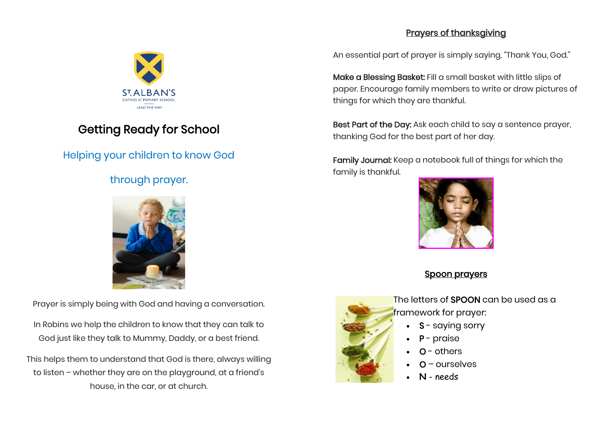#### Prayers of thanksgiving



# Getting Ready for School

## Helping your children to know God

## through prayer.



Prayer is simply being with God and having a conversation.

In Robins we help the children to know that they can talk to God just like they talk to Mummy, Daddy, or a best friend.

This helps them to understand that God is there, always willing to listen – whether they are on the playground, at a friend's house, in the car, or at church.

An essential part of prayer is simply saying, "Thank You, God."

Make a Blessing Basket: Fill a small basket with little slips of paper. Encourage family members to write or draw pictures of things for which they are thankful.

Best Part of the Day: Ask each child to say a sentence prayer, thanking God for the best part of her day.

Family Journal: Keep a notebook full of things for which the family is thankful.



### Spoon prayers



The letters of **SPOON** can be used as a framework for prayer:

- **S** saying sorry
- P praise
- $O -$  others
- $Q$  ourselves
- **N** needs